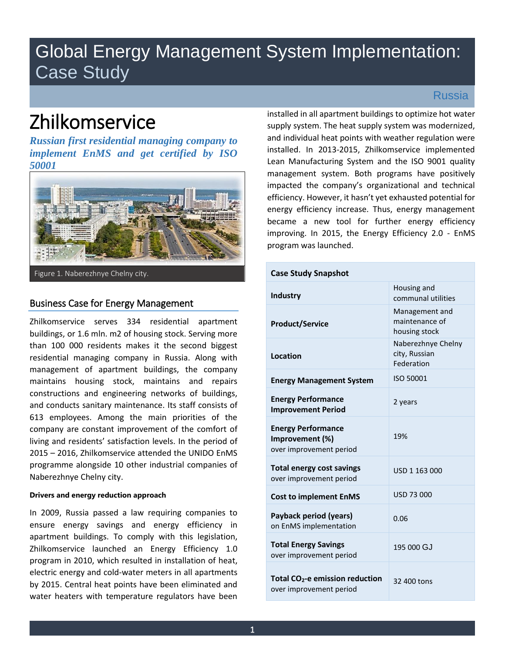# Global Energy Management System Implementation: Case Study

# Zhilkomservice

*Russian first residential managing company to implement EnMS and get certified by ISO 50001* 



Figure 1. Naberezhnye Chelny city.

# Business Case for Energy Management

Zhilkomservice serves 334 residential apartment buildings, or 1.6 mln. m2 of housing stock. Serving more than 100 000 residents makes it the second biggest residential managing company in Russia. Along with management of apartment buildings, the company maintains housing stock, maintains and repairs constructions and engineering networks of buildings, and conducts sanitary maintenance. Its staff consists of 613 employees. Among the main priorities of the company are constant improvement of the comfort of living and residents' satisfaction levels. In the period of 2015 – 2016, Zhilkomservice attended the UNIDO EnMS programme alongside 10 other industrial companies of Naberezhnye Chelny city.

## **Drivers and energy reduction approach**

In 2009, Russia passed a law requiring companies to ensure energy savings and energy efficiency in apartment buildings. To comply with this legislation, Zhilkomservice launched an Energy Efficiency 1.0 program in 2010, which resulted in installation of heat, electric energy and cold-water meters in all apartments by 2015. Central heat points have been eliminated and water heaters with temperature regulators have been

Russia

installed in all apartment buildings to optimize hot water supply system. The heat supply system was modernized, and individual heat points with weather regulation were installed. In 2013-2015, Zhilkomservice implemented Lean Manufacturing System and the ISO 9001 quality management system. Both programs have positively impacted the company's organizational and technical efficiency. However, it hasn't yet exhausted potential for energy efficiency increase. Thus, energy management became a new tool for further energy efficiency improving. In 2015, the Energy Efficiency 2.0 - EnMS program was launched.

| <b>Case Study Snapshot</b>                                              |                                                   |
|-------------------------------------------------------------------------|---------------------------------------------------|
| <b>Industry</b>                                                         | Housing and<br>communal utilities                 |
| <b>Product/Service</b>                                                  | Management and<br>maintenance of<br>housing stock |
| Location                                                                | Naberezhnye Chelny<br>city, Russian<br>Federation |
| <b>Energy Management System</b>                                         | ISO 50001                                         |
| <b>Energy Performance</b><br><b>Improvement Period</b>                  | 2 years                                           |
| <b>Energy Performance</b><br>Improvement (%)<br>over improvement period | 19%                                               |
| <b>Total energy cost savings</b><br>over improvement period             | USD 1 163 000                                     |
| <b>Cost to implement EnMS</b>                                           | USD 73 000                                        |
| Payback period (years)<br>on EnMS implementation                        | 0.06                                              |
| <b>Total Energy Savings</b><br>over improvement period                  | 195 000 GJ                                        |
| Total CO <sub>2</sub> -e emission reduction<br>over improvement period  | 32 400 tons                                       |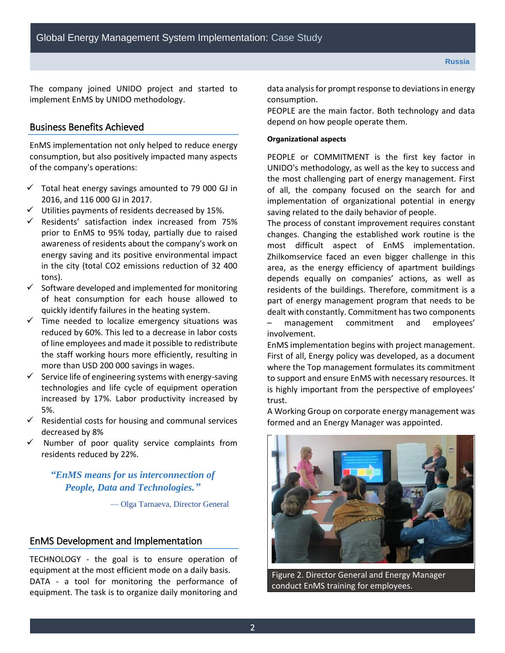The company joined UNIDO project and started to implement EnMS by UNIDO methodology.

## Business Benefits Achieved

EnMS implementation not only helped to reduce energy consumption, but also positively impacted many aspects of the company's operations:

- $\checkmark$  Total heat energy savings amounted to 79 000 GJ in 2016, and 116 000 GJ in 2017.
- Utilities payments of residents decreased by 15%.
- $\checkmark$  Residents' satisfaction index increased from 75% prior to EnMS to 95% today, partially due to raised awareness of residents about the company's work on energy saving and its positive environmental impact in the city (total CO2 emissions reduction of 32 400 tons).
- $\checkmark$  Software developed and implemented for monitoring of heat consumption for each house allowed to quickly identify failures in the heating system.
- $\checkmark$  Time needed to localize emergency situations was reduced by 60%. This led to a decrease in labor costs of line employees and made it possible to redistribute the staff working hours more efficiently, resulting in more than USD 200 000 savings in wages.
- $\checkmark$  Service life of engineering systems with energy-saving technologies and life cycle of equipment operation increased by 17%. Labor productivity increased by 5%.
- $\checkmark$  Residential costs for housing and communal services decreased by 8%
- Number of poor quality service complaints from residents reduced by 22%.

# *"EnMS means for us interconnection of People, Data and Technologies."*

— Olga Tarnaeva, Director General

## EnMS Development and Implementation

TECHNOLOGY - the goal is to ensure operation of equipment at the most efficient mode on a daily basis. DATA - a tool for monitoring the performance of equipment. The task is to organize daily monitoring and data analysis for prompt response to deviations in energy consumption.

PEOPLE are the main factor. Both technology and data depend on how people operate them.

#### **Organizational aspects**

PEOPLE or COMMITMENT is the first key factor in UNIDO's methodology, as well as the key to success and the most challenging part of energy management. First of all, the company focused on the search for and implementation of organizational potential in energy saving related to the daily behavior of people.

The process of constant improvement requires constant changes. Changing the established work routine is the most difficult aspect of EnMS implementation. Zhilkomservice faced an even bigger challenge in this area, as the energy efficiency of apartment buildings depends equally on companies' actions, as well as residents of the buildings. Therefore, commitment is a part of energy management program that needs to be dealt with constantly. Commitment has two components – management commitment and employees' involvement.

EnMS implementation begins with project management. First of all, Energy policy was developed, as a document where the Top management formulates its commitment to support and ensure EnMS with necessary resources. It is highly important from the perspective of employees' trust.

A Working Group on corporate energy management was formed and an Energy Manager was appointed.



Figure 2. Director General and Energy Manager conduct EnMS training for employees.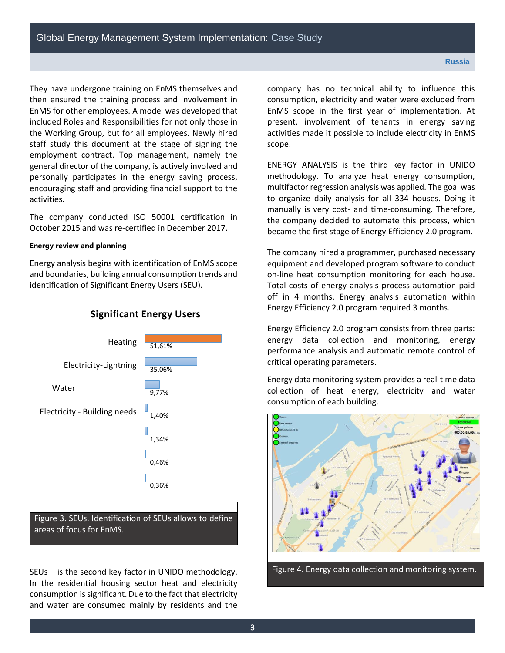They have undergone training on EnMS themselves and then ensured the training process and involvement in EnMS for other employees. A model was developed that included Roles and Responsibilities for not only those in the Working Group, but for all employees. Newly hired staff study this document at the stage of signing the employment contract. Top management, namely the general director of the company, is actively involved and personally participates in the energy saving process, encouraging staff and providing financial support to the activities.

The company conducted ISO 50001 certification in October 2015 and was re-certified in December 2017.

#### **Energy review and planning**

Energy analysis begins with identification of EnMS scope and boundaries, building annual consumption trends and identification of Significant Energy Users (SEU).



SEUs – is the second key factor in UNIDO methodology. In the residential housing sector heat and electricity consumption is significant. Due to the fact that electricity and water are consumed mainly by residents and the company has no technical ability to influence this consumption, electricity and water were excluded from EnMS scope in the first year of implementation. At present, involvement of tenants in energy saving activities made it possible to include electricity in EnMS scope.

ENERGY ANALYSIS is the third key factor in UNIDO methodology. To analyze heat energy consumption, multifactor regression analysis was applied. The goal was to organize daily analysis for all 334 houses. Doing it manually is very cost- and time-consuming. Therefore, the company decided to automate this process, which became the first stage of Energy Efficiency 2.0 program.

The company hired a programmer, purchased necessary equipment and developed program software to conduct on-line heat consumption monitoring for each house. Total costs of energy analysis process automation paid off in 4 months. Energy analysis automation within Energy Efficiency 2.0 program required 3 months.

Energy Efficiency 2.0 program consists from three parts: energy data collection and monitoring, energy performance analysis and automatic remote control of critical operating parameters.

Energy data monitoring system provides a real-time data collection of heat energy, electricity and water consumption of each building.



Figure 4. Energy data collection and monitoring system.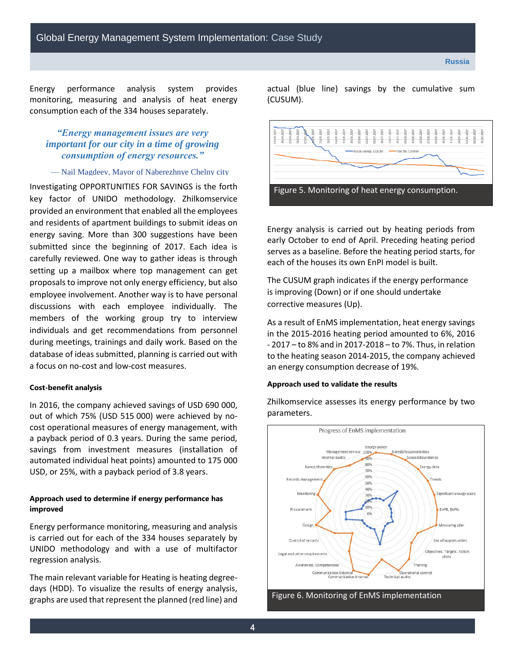Energy performance analysis system provides monitoring, measuring and analysis of heat energy consumption each of the 334 houses separately.

# *"Energy management issues are very important for our city in a time of growing consumption of energy resources."*

#### — Nail Magdeev, Mayor of Naberezhnye Chelny city

Investigating OPPORTUNITIES FOR SAVINGS is the forth key factor of UNIDO methodology. Zhilkomservice provided an environment that enabled all the employees and residents of apartment buildings to submit ideas on energy saving. More than 300 suggestions have been submitted since the beginning of 2017. Each idea is carefully reviewed. One way to gather ideas is through setting up a mailbox where top management can get proposals to improve not only energy efficiency, but also employee involvement. Another way is to have personal discussions with each employee individually. The members of the working group try to interview individuals and get recommendations from personnel during meetings, trainings and daily work. Based on the database of ideas submitted, planning is carried out with a focus on no-cost and low-cost measures.

#### **Cost-benefit analysis**

In 2016, the company achieved savings of USD 690 000, out of which 75% (USD 515 000) were achieved by nocost operational measures of energy management, with a payback period of 0.3 years. During the same period, savings from investment measures (installation of automated individual heat points) amounted to 175 000 USD, or 25%, with a payback period of 3.8 years.

### **Approach used to determine if energy performance has improved**

Energy performance monitoring, measuring and analysis is carried out for each of the 334 houses separately by UNIDO methodology and with a use of multifactor regression analysis.

The main relevant variable for Heating is heating degreedays (HDD). To visualize the results of energy analysis, graphs are used that represent the planned (red line) and actual (blue line) savings by the cumulative sum (CUSUM).



Energy analysis is carried out by heating periods from early October to end of April. Preceding heating period serves as a baseline. Before the heating period starts, for each of the houses its own EnPI model is built.

The CUSUM graph indicates if the energy performance is improving (Down) or if one should undertake corrective measures (Up).

As a result of EnMS implementation, heat energy savings in the 2015-2016 heating period amounted to 6%, 2016 - 2017 – to 8% and in 2017-2018 – to 7%. Thus, in relation to the heating season 2014-2015, the company achieved an energy consumption decrease of 19%.

#### **Approach used to validate the results**

Zhilkomservice assesses its energy performance by two parameters.



Figure 6. Monitoring of EnMS implementation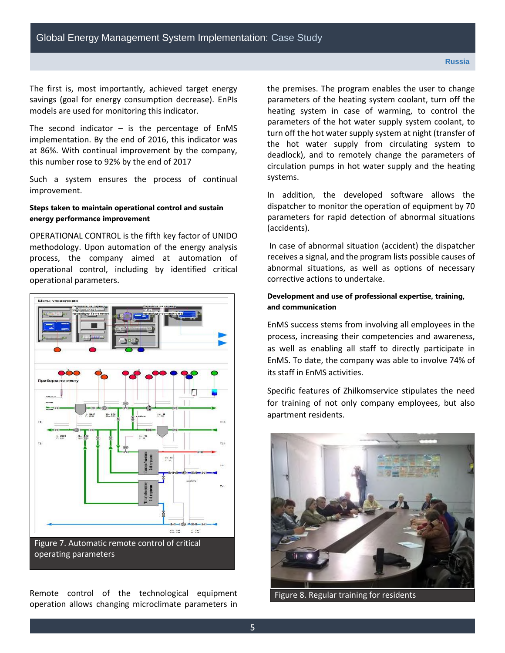The first is, most importantly, achieved target energy savings (goal for energy consumption decrease). EnPIs models are used for monitoring this indicator.

The second indicator  $-$  is the percentage of EnMS implementation. By the end of 2016, this indicator was at 86%. With continual improvement by the company, this number rose to 92% by the end of 2017

Such a system ensures the process of continual improvement.

## **Steps taken to maintain operational control and sustain energy performance improvement**

OPERATIONAL CONTROL is the fifth key factor of UNIDO methodology. Upon automation of the energy analysis process, the company aimed at automation of operational control, including by identified critical operational parameters.



Remote control of the technological equipment operation allows changing microclimate parameters in the premises. The program enables the user to change parameters of the heating system coolant, turn off the heating system in case of warming, to control the parameters of the hot water supply system coolant, to turn off the hot water supply system at night (transfer of the hot water supply from circulating system to deadlock), and to remotely change the parameters of circulation pumps in hot water supply and the heating systems.

In addition, the developed software allows the dispatcher to monitor the operation of equipment by 70 parameters for rapid detection of abnormal situations (accidents).

 In case of abnormal situation (accident) the dispatcher receives a signal, and the program lists possible causes of abnormal situations, as well as options of necessary corrective actions to undertake.

### **Development and use of professional expertise, training, and communication**

EnMS success stems from involving all employees in the process, increasing their competencies and awareness, as well as enabling all staff to directly participate in EnMS. To date, the company was able to involve 74% of its staff in EnMS activities.

Specific features of Zhilkomservice stipulates the need for training of not only company employees, but also apartment residents.



Figure 8. Regular training for residents